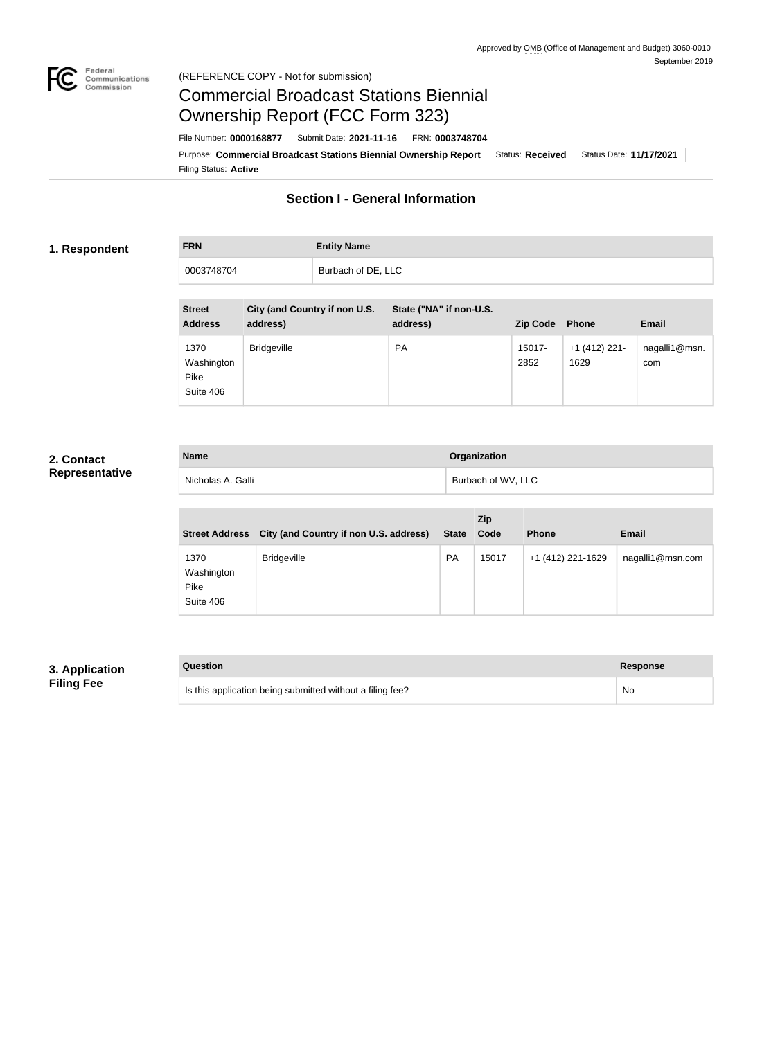

#### Federal<br>Communications<br>Commission (REFERENCE COPY - Not for submission)

# Commercial Broadcast Stations Biennial Ownership Report (FCC Form 323)

Filing Status: **Active** Purpose: Commercial Broadcast Stations Biennial Ownership Report Status: Received Status Date: 11/17/2021 File Number: **0000168877** Submit Date: **2021-11-16** FRN: **0003748704**

# **Section I - General Information**

#### **1. Respondent**

# **FRN Entity Name** 0003748704 **Burbach of DE, LLC**

| <b>Street</b><br><b>Address</b>         | City (and Country if non U.S.<br>address) | State ("NA" if non-U.S.<br>address) | <b>Zip Code</b> | <b>Phone</b>            | <b>Email</b>         |
|-----------------------------------------|-------------------------------------------|-------------------------------------|-----------------|-------------------------|----------------------|
| 1370<br>Washington<br>Pike<br>Suite 406 | <b>Bridgeville</b>                        | <b>PA</b>                           | 15017-<br>2852  | $+1$ (412) 221-<br>1629 | nagalli1@msn.<br>com |

## **2. Contact Representative**

| <b>Name</b>       | <b>Organization</b> |
|-------------------|---------------------|
| Nicholas A. Galli | Burbach of WV, LLC  |

| <b>Street Address</b>                   | <b>City (and Country if non U.S. address)</b> | <b>State</b> | Zip<br>Code | <b>Phone</b>      | <b>Email</b>     |
|-----------------------------------------|-----------------------------------------------|--------------|-------------|-------------------|------------------|
| 1370<br>Washington<br>Pike<br>Suite 406 | <b>Bridgeville</b>                            | <b>PA</b>    | 15017       | +1 (412) 221-1629 | nagalli1@msn.com |

#### **3. Application Filing Fee**

| Question                                                  | <b>Response</b> |
|-----------------------------------------------------------|-----------------|
| Is this application being submitted without a filing fee? | No.             |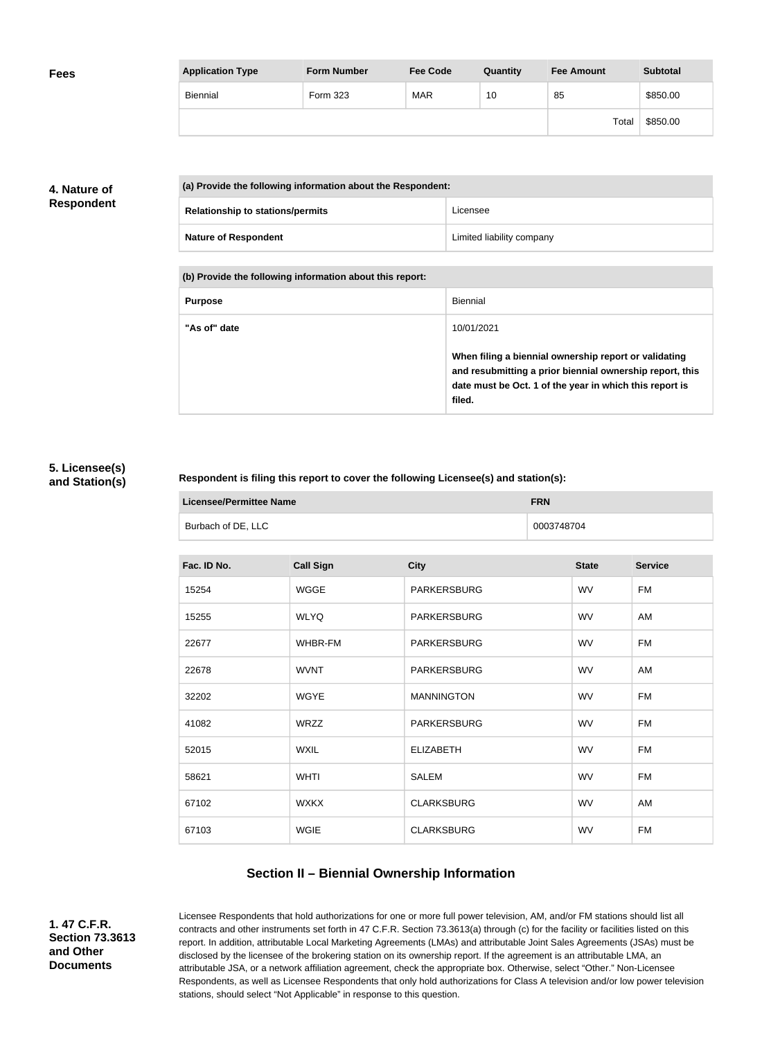| <b>Fees</b> | <b>Application Type</b> | <b>Form Number</b> | <b>Fee Code</b> | Quantity | <b>Fee Amount</b> | <b>Subtotal</b> |
|-------------|-------------------------|--------------------|-----------------|----------|-------------------|-----------------|
|             | Biennial                | Form 323           | <b>MAR</b>      | 10       | 85                | \$850.00        |
|             |                         |                    |                 |          | Total             | \$850.00        |

## **4. Nature of Respondent**

| (a) Provide the following information about the Respondent: |                           |  |
|-------------------------------------------------------------|---------------------------|--|
| <b>Relationship to stations/permits</b>                     | Licensee                  |  |
| <b>Nature of Respondent</b>                                 | Limited liability company |  |

**(b) Provide the following information about this report:**

| <b>Purpose</b> | Biennial                                                                                                                                                                               |
|----------------|----------------------------------------------------------------------------------------------------------------------------------------------------------------------------------------|
| "As of" date   | 10/01/2021                                                                                                                                                                             |
|                | When filing a biennial ownership report or validating<br>and resubmitting a prior biennial ownership report, this<br>date must be Oct. 1 of the year in which this report is<br>filed. |

### **5. Licensee(s) and Station(s)**

#### **Respondent is filing this report to cover the following Licensee(s) and station(s):**

| Licensee/Permittee Name |                    | <b>FRN</b> |
|-------------------------|--------------------|------------|
|                         | Burbach of DE, LLC | 0003748704 |

| Fac. ID No. | <b>Call Sign</b> | <b>City</b>        | <b>State</b> | <b>Service</b> |
|-------------|------------------|--------------------|--------------|----------------|
| 15254       | <b>WGGE</b>      | <b>PARKERSBURG</b> | <b>WV</b>    | <b>FM</b>      |
| 15255       | <b>WLYQ</b>      | <b>PARKERSBURG</b> | <b>WV</b>    | AM             |
| 22677       | WHBR-FM          | PARKERSBURG        | <b>WV</b>    | <b>FM</b>      |
| 22678       | <b>WVNT</b>      | <b>PARKERSBURG</b> | <b>WV</b>    | AM             |
| 32202       | <b>WGYE</b>      | <b>MANNINGTON</b>  | <b>WV</b>    | <b>FM</b>      |
| 41082       | WRZZ             | <b>PARKERSBURG</b> | <b>WV</b>    | <b>FM</b>      |
| 52015       | <b>WXIL</b>      | <b>ELIZABETH</b>   | <b>WV</b>    | <b>FM</b>      |
| 58621       | <b>WHTI</b>      | SALEM              | <b>WV</b>    | <b>FM</b>      |
| 67102       | <b>WXKX</b>      | <b>CLARKSBURG</b>  | <b>WV</b>    | AM             |
| 67103       | <b>WGIE</b>      | <b>CLARKSBURG</b>  | <b>WV</b>    | <b>FM</b>      |
|             |                  |                    |              |                |

## **Section II – Biennial Ownership Information**

**1. 47 C.F.R. Section 73.3613 and Other Documents**

Licensee Respondents that hold authorizations for one or more full power television, AM, and/or FM stations should list all contracts and other instruments set forth in 47 C.F.R. Section 73.3613(a) through (c) for the facility or facilities listed on this report. In addition, attributable Local Marketing Agreements (LMAs) and attributable Joint Sales Agreements (JSAs) must be disclosed by the licensee of the brokering station on its ownership report. If the agreement is an attributable LMA, an attributable JSA, or a network affiliation agreement, check the appropriate box. Otherwise, select "Other." Non-Licensee Respondents, as well as Licensee Respondents that only hold authorizations for Class A television and/or low power television stations, should select "Not Applicable" in response to this question.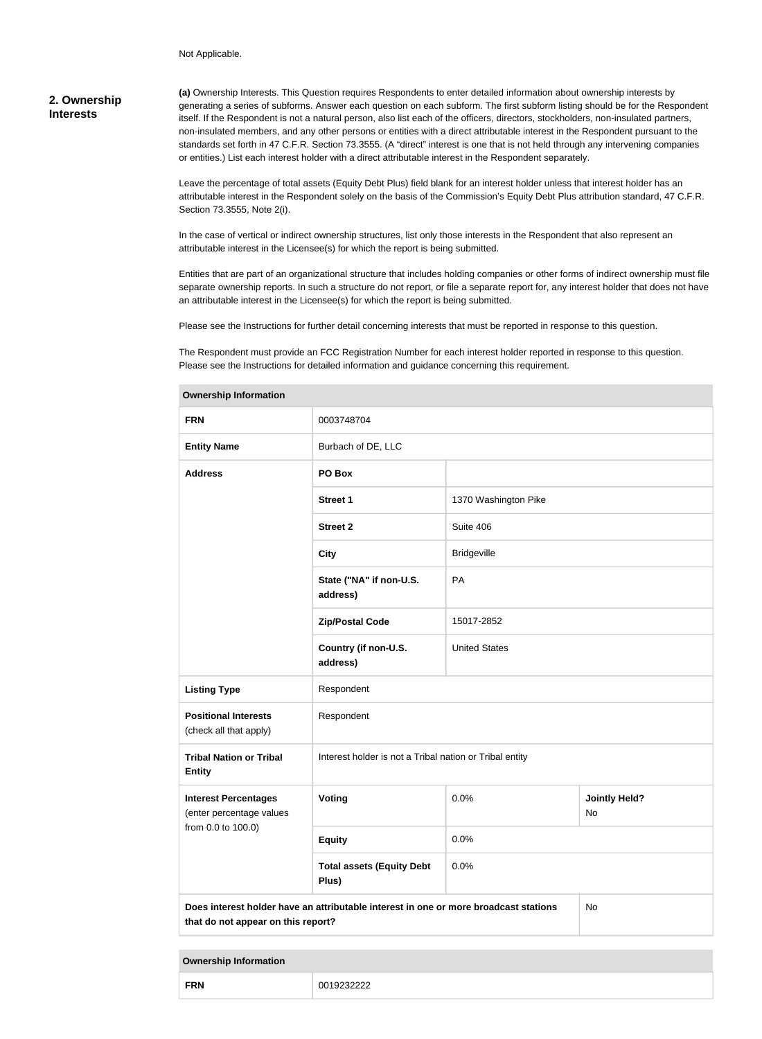Not Applicable.

### **2. Ownership Interests**

**(a)** Ownership Interests. This Question requires Respondents to enter detailed information about ownership interests by generating a series of subforms. Answer each question on each subform. The first subform listing should be for the Respondent itself. If the Respondent is not a natural person, also list each of the officers, directors, stockholders, non-insulated partners, non-insulated members, and any other persons or entities with a direct attributable interest in the Respondent pursuant to the standards set forth in 47 C.F.R. Section 73.3555. (A "direct" interest is one that is not held through any intervening companies or entities.) List each interest holder with a direct attributable interest in the Respondent separately.

Leave the percentage of total assets (Equity Debt Plus) field blank for an interest holder unless that interest holder has an attributable interest in the Respondent solely on the basis of the Commission's Equity Debt Plus attribution standard, 47 C.F.R. Section 73.3555, Note 2(i).

In the case of vertical or indirect ownership structures, list only those interests in the Respondent that also represent an attributable interest in the Licensee(s) for which the report is being submitted.

Entities that are part of an organizational structure that includes holding companies or other forms of indirect ownership must file separate ownership reports. In such a structure do not report, or file a separate report for, any interest holder that does not have an attributable interest in the Licensee(s) for which the report is being submitted.

Please see the Instructions for further detail concerning interests that must be reported in response to this question.

The Respondent must provide an FCC Registration Number for each interest holder reported in response to this question. Please see the Instructions for detailed information and guidance concerning this requirement.

| <b>FRN</b>                                                                                                                       | 0003748704                                              |                      |                            |  |
|----------------------------------------------------------------------------------------------------------------------------------|---------------------------------------------------------|----------------------|----------------------------|--|
| <b>Entity Name</b>                                                                                                               | Burbach of DE, LLC                                      |                      |                            |  |
| <b>Address</b>                                                                                                                   | PO Box                                                  |                      |                            |  |
|                                                                                                                                  | Street 1                                                | 1370 Washington Pike |                            |  |
|                                                                                                                                  | <b>Street 2</b>                                         | Suite 406            |                            |  |
|                                                                                                                                  | <b>City</b>                                             | <b>Bridgeville</b>   |                            |  |
|                                                                                                                                  | State ("NA" if non-U.S.<br>address)                     | PA                   |                            |  |
|                                                                                                                                  | <b>Zip/Postal Code</b>                                  | 15017-2852           |                            |  |
|                                                                                                                                  | Country (if non-U.S.<br>address)                        | <b>United States</b> |                            |  |
| <b>Listing Type</b>                                                                                                              | Respondent                                              |                      |                            |  |
| <b>Positional Interests</b><br>(check all that apply)                                                                            | Respondent                                              |                      |                            |  |
| <b>Tribal Nation or Tribal</b><br><b>Entity</b>                                                                                  | Interest holder is not a Tribal nation or Tribal entity |                      |                            |  |
| <b>Interest Percentages</b><br>(enter percentage values                                                                          | Voting                                                  | 0.0%                 | <b>Jointly Held?</b><br>No |  |
| from 0.0 to 100.0)                                                                                                               | <b>Equity</b>                                           | 0.0%                 |                            |  |
|                                                                                                                                  | <b>Total assets (Equity Debt</b><br>Plus)               | 0.0%                 |                            |  |
| Does interest holder have an attributable interest in one or more broadcast stations<br>No<br>that do not appear on this report? |                                                         |                      |                            |  |

#### **Ownership Information**

#### **Ownership Information**

**FRN** 0019232222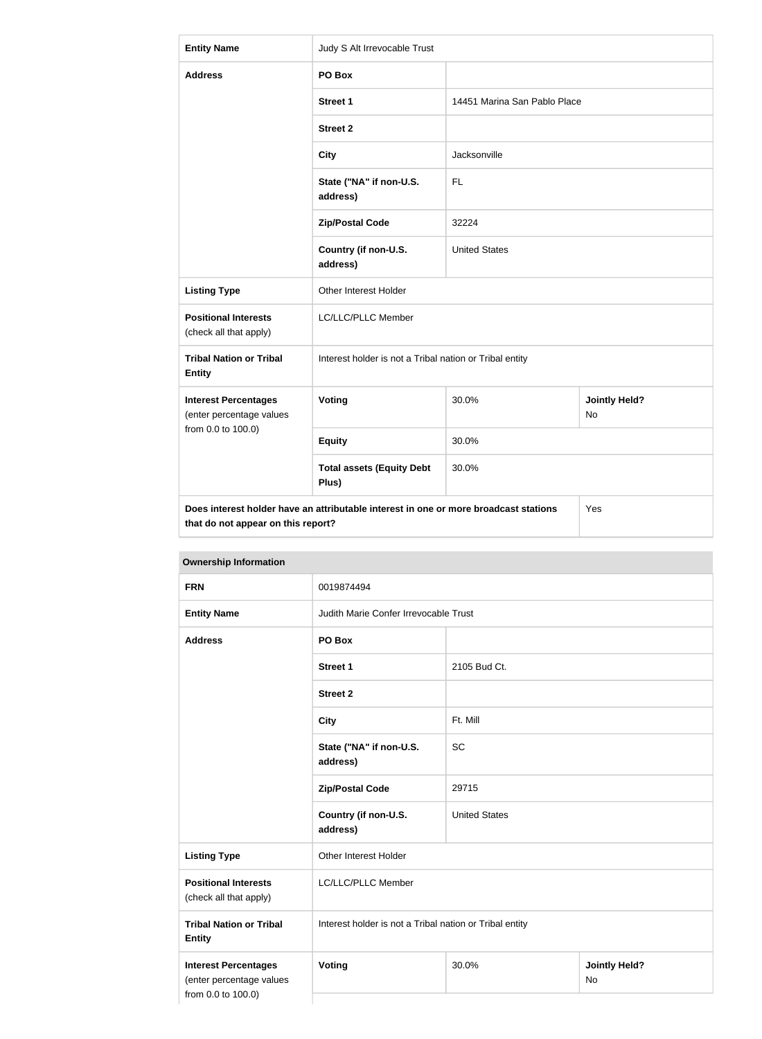| <b>Entity Name</b>                                                                                                                | Judy S Alt Irrevocable Trust                            |                              |                            |  |  |
|-----------------------------------------------------------------------------------------------------------------------------------|---------------------------------------------------------|------------------------------|----------------------------|--|--|
| <b>Address</b>                                                                                                                    | PO Box                                                  |                              |                            |  |  |
|                                                                                                                                   | <b>Street 1</b>                                         | 14451 Marina San Pablo Place |                            |  |  |
|                                                                                                                                   | <b>Street 2</b>                                         |                              |                            |  |  |
|                                                                                                                                   | <b>City</b>                                             | Jacksonville                 |                            |  |  |
|                                                                                                                                   | State ("NA" if non-U.S.<br>address)                     | <b>FL</b>                    |                            |  |  |
|                                                                                                                                   | <b>Zip/Postal Code</b>                                  | 32224                        |                            |  |  |
|                                                                                                                                   | Country (if non-U.S.<br>address)                        | <b>United States</b>         |                            |  |  |
| <b>Listing Type</b>                                                                                                               | Other Interest Holder                                   |                              |                            |  |  |
| <b>Positional Interests</b><br>(check all that apply)                                                                             | LC/LLC/PLLC Member                                      |                              |                            |  |  |
| <b>Tribal Nation or Tribal</b><br><b>Entity</b>                                                                                   | Interest holder is not a Tribal nation or Tribal entity |                              |                            |  |  |
| <b>Interest Percentages</b><br>(enter percentage values                                                                           | Voting                                                  | 30.0%                        | <b>Jointly Held?</b><br>No |  |  |
| from 0.0 to 100.0)                                                                                                                | <b>Equity</b>                                           | 30.0%                        |                            |  |  |
|                                                                                                                                   | <b>Total assets (Equity Debt</b><br>Plus)               | 30.0%                        |                            |  |  |
| Does interest holder have an attributable interest in one or more broadcast stations<br>Yes<br>that do not appear on this report? |                                                         |                              |                            |  |  |

| <b>Ownership Information</b>                                                  |                                                         |                      |                            |  |  |
|-------------------------------------------------------------------------------|---------------------------------------------------------|----------------------|----------------------------|--|--|
| <b>FRN</b>                                                                    | 0019874494                                              |                      |                            |  |  |
| <b>Entity Name</b>                                                            | Judith Marie Confer Irrevocable Trust                   |                      |                            |  |  |
| <b>Address</b>                                                                | PO Box                                                  |                      |                            |  |  |
|                                                                               | <b>Street 1</b>                                         | 2105 Bud Ct.         |                            |  |  |
|                                                                               | <b>Street 2</b>                                         |                      |                            |  |  |
|                                                                               | <b>City</b>                                             | Ft. Mill             |                            |  |  |
|                                                                               | State ("NA" if non-U.S.<br>address)                     | <b>SC</b>            |                            |  |  |
|                                                                               | <b>Zip/Postal Code</b>                                  | 29715                |                            |  |  |
|                                                                               | Country (if non-U.S.<br>address)                        | <b>United States</b> |                            |  |  |
| <b>Listing Type</b>                                                           | Other Interest Holder                                   |                      |                            |  |  |
| <b>Positional Interests</b><br>(check all that apply)                         | LC/LLC/PLLC Member                                      |                      |                            |  |  |
| <b>Tribal Nation or Tribal</b><br><b>Entity</b>                               | Interest holder is not a Tribal nation or Tribal entity |                      |                            |  |  |
| <b>Interest Percentages</b><br>(enter percentage values<br>from 0.0 to 100.0) | <b>Voting</b>                                           | 30.0%                | <b>Jointly Held?</b><br>No |  |  |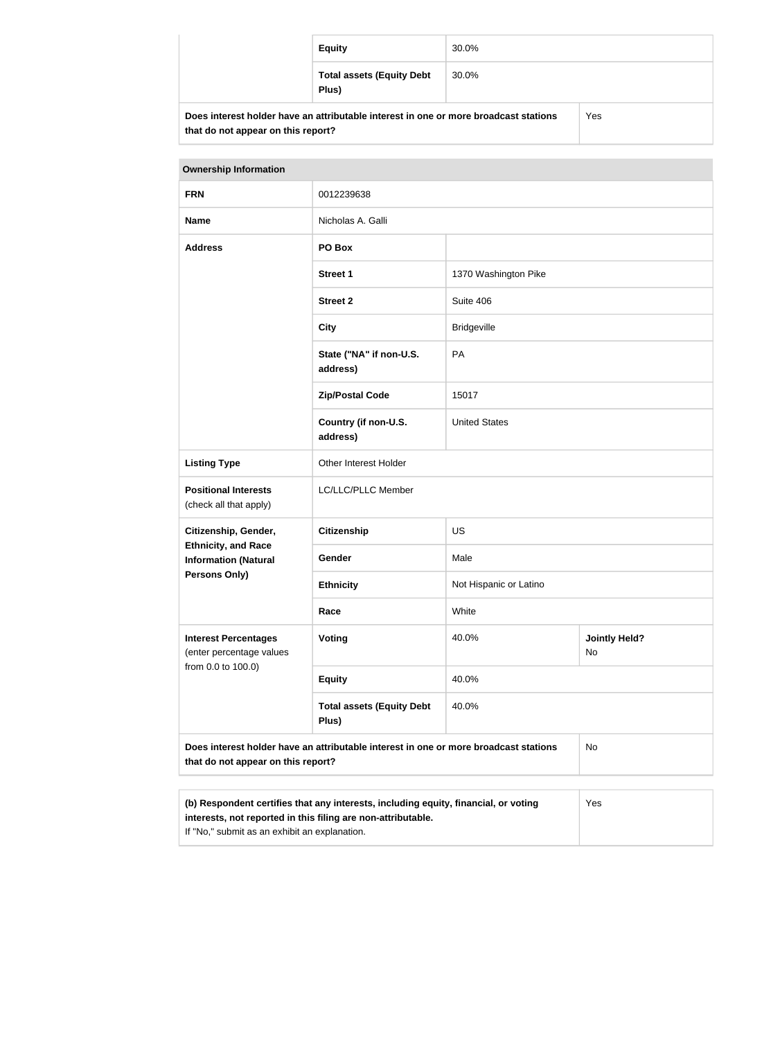| <b>Equity</b>                                                                                       | 30.0% |  |
|-----------------------------------------------------------------------------------------------------|-------|--|
| <b>Total assets (Equity Debt</b><br>Plus)                                                           | 30.0% |  |
| e interest holder have an attributable interest in one or more broadcast stations<br>$V_{\alpha c}$ |       |  |

| Does interest holder have an attributable interest in one or more broadcast stations |
|--------------------------------------------------------------------------------------|
| that do not appear on this report?                                                   |

| <b>Ownership Information</b>                                                                                                                               |                                           |                        |                            |
|------------------------------------------------------------------------------------------------------------------------------------------------------------|-------------------------------------------|------------------------|----------------------------|
| <b>FRN</b>                                                                                                                                                 | 0012239638                                |                        |                            |
| <b>Name</b>                                                                                                                                                | Nicholas A. Galli                         |                        |                            |
| <b>Address</b>                                                                                                                                             | PO Box                                    |                        |                            |
|                                                                                                                                                            | <b>Street 1</b>                           | 1370 Washington Pike   |                            |
|                                                                                                                                                            | <b>Street 2</b>                           | Suite 406              |                            |
|                                                                                                                                                            | <b>City</b>                               | <b>Bridgeville</b>     |                            |
|                                                                                                                                                            | State ("NA" if non-U.S.<br>address)       | PA                     |                            |
|                                                                                                                                                            | <b>Zip/Postal Code</b>                    | 15017                  |                            |
|                                                                                                                                                            | Country (if non-U.S.<br>address)          | <b>United States</b>   |                            |
| <b>Listing Type</b>                                                                                                                                        | Other Interest Holder                     |                        |                            |
| <b>Positional Interests</b><br>(check all that apply)                                                                                                      | LC/LLC/PLLC Member                        |                        |                            |
| Citizenship, Gender,                                                                                                                                       | <b>Citizenship</b>                        | US                     |                            |
| <b>Ethnicity, and Race</b><br><b>Information (Natural</b>                                                                                                  | Gender                                    | Male                   |                            |
| Persons Only)                                                                                                                                              | <b>Ethnicity</b>                          | Not Hispanic or Latino |                            |
|                                                                                                                                                            | Race                                      | White                  |                            |
| <b>Interest Percentages</b><br>(enter percentage values<br>from 0.0 to 100.0)                                                                              | <b>Voting</b>                             | 40.0%                  | <b>Jointly Held?</b><br>No |
|                                                                                                                                                            | <b>Equity</b>                             | 40.0%                  |                            |
|                                                                                                                                                            | <b>Total assets (Equity Debt</b><br>Plus) | 40.0%                  |                            |
| Does interest holder have an attributable interest in one or more broadcast stations<br>No<br>that do not appear on this report?                           |                                           |                        |                            |
|                                                                                                                                                            |                                           |                        |                            |
| (b) Respondent certifies that any interests, including equity, financial, or voting<br>Yes<br>interests, not reported in this filing are non-attributable. |                                           |                        |                            |

If "No," submit as an exhibit an explanation.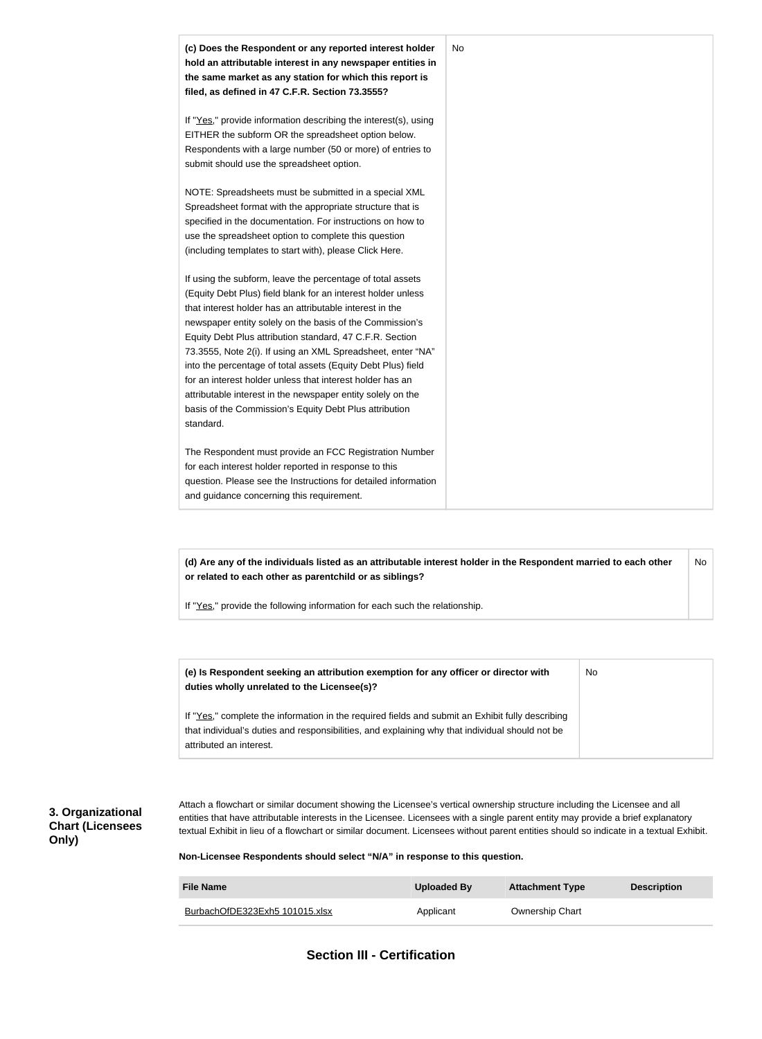

**(d) Are any of the individuals listed as an attributable interest holder in the Respondent married to each other or related to each other as parentchild or as siblings?** No

If "Yes," provide the following information for each such the relationship.

| (e) Is Respondent seeking an attribution exemption for any officer or director with<br>duties wholly unrelated to the Licensee(s)?                                                                                             | No. |
|--------------------------------------------------------------------------------------------------------------------------------------------------------------------------------------------------------------------------------|-----|
| If "Yes," complete the information in the required fields and submit an Exhibit fully describing<br>that individual's duties and responsibilities, and explaining why that individual should not be<br>attributed an interest. |     |

### **3. Organizational Chart (Licensees Only)**

Attach a flowchart or similar document showing the Licensee's vertical ownership structure including the Licensee and all entities that have attributable interests in the Licensee. Licensees with a single parent entity may provide a brief explanatory textual Exhibit in lieu of a flowchart or similar document. Licensees without parent entities should so indicate in a textual Exhibit.

#### **Non-Licensee Respondents should select "N/A" in response to this question.**

| <b>File Name</b>               | Uploaded By | <b>Attachment Type</b> | <b>Description</b> |
|--------------------------------|-------------|------------------------|--------------------|
| BurbachOfDE323Exh5 101015.xlsx | Applicant   | <b>Ownership Chart</b> |                    |